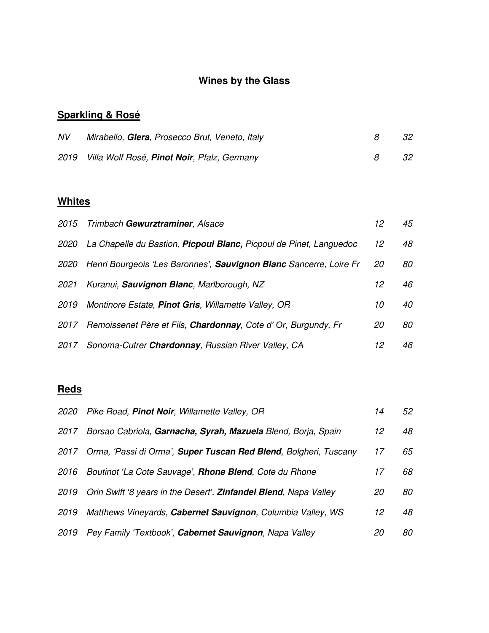# **Wines by the Glass**

# **Sparkling & Rosé**

| NV | Mirabello, Glera, Prosecco Brut, Veneto, Italy   | -32  |
|----|--------------------------------------------------|------|
|    | 2019 Villa Wolf Rosé, Pinot Noir, Pfalz, Germany | - 32 |

# **Whites**

|             | 2015 Trimbach Gewurztraminer, Alsace                               | 12  | 45 |
|-------------|--------------------------------------------------------------------|-----|----|
| <i>2020</i> | La Chapelle du Bastion, Picpoul Blanc, Picpoul de Pinet, Languedoc | 12  | 48 |
| 2020        | Henri Bourgeois 'Les Baronnes', Sauvignon Blanc Sancerre, Loire Fr | 20  | 80 |
| 2021        | Kuranui, Sauvignon Blanc, Marlborough, NZ                          | 12  | 46 |
| 2019        | Montinore Estate, Pinot Gris, Willamette Valley, OR                | 10  | 40 |
| 2017        | Remoissenet Père et Fils, Chardonnay, Cote d' Or, Burgundy, Fr     | 20  | 80 |
| 2017        | Sonoma-Cutrer Chardonnay, Russian River Valley, CA                 | 12. | 46 |
|             |                                                                    |     |    |

# **Reds**

| <i>2020</i> | Pike Road, Pinot Noir, Willamette Valley, OR                     | 14 | 52 |
|-------------|------------------------------------------------------------------|----|----|
| 2017        | Borsao Cabriola, Garnacha, Syrah, Mazuela Blend, Borja, Spain    | 12 | 48 |
| 2017        | Orma, 'Passi di Orma', Super Tuscan Red Blend, Bolgheri, Tuscany | 17 | 65 |
| 2016        | Boutinot 'La Cote Sauvage', Rhone Blend, Cote du Rhone           | 17 | 68 |
| 2019        | Orin Swift '8 years in the Desert', Zinfandel Blend, Napa Valley | 20 | 80 |
| 2019        | Matthews Vineyards, Cabernet Sauvignon, Columbia Valley, WS      | 12 | 48 |
| 2019        | Pey Family 'Textbook', Cabernet Sauvignon, Napa Valley           | 20 | 80 |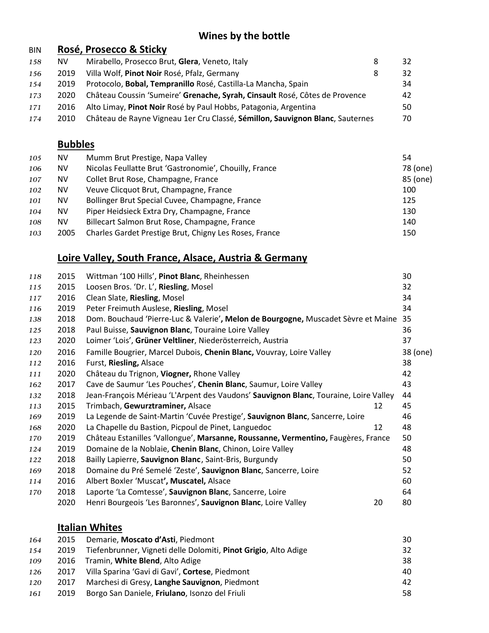#### **Wines by the bottle**

#### BIN **Rosé, Prosecco & Sticky** 158 NV Mirabello, Prosecco Brut, Glera, Veneto, Italy **8** 32 *156* 2019 Villa Wolf, **Pinot Noir** Rosé, Pfalz, Germany 8 32 *154* 2019 Protocolo, **Bobal, Tempranillo** Rosé, Castilla-La Mancha, Spain 34 *173* 2020 Château Coussin 'Sumeire' **Grenache, Syrah, Cinsault** Rosé, Côtes de Provence 42 *171* 2016 Alto Limay, **Pinot Noir** Rosé by Paul Hobbs, Patagonia, Argentina 50 *174* 2010 Château de Rayne Vigneau 1er Cru Classé, **Sémillon, Sauvignon Blanc**, Sauternes 70

#### **Bubbles**

| 105 | <b>NV</b> | Mumm Brut Prestige, Napa Valley                        | 54       |
|-----|-----------|--------------------------------------------------------|----------|
| 106 | NV.       | Nicolas Feullatte Brut 'Gastronomie', Chouilly, France | 78 (one) |
| 107 | <b>NV</b> | Collet Brut Rose, Champagne, France                    | 85 (one) |
| 102 | <b>NV</b> | Veuve Clicquot Brut, Champagne, France                 | 100      |
| 101 | NV.       | Bollinger Brut Special Cuvee, Champagne, France        | 125      |
| 104 | NV.       | Piper Heidsieck Extra Dry, Champagne, France           | 130      |
| 108 | <b>NV</b> | Billecart Salmon Brut Rose, Champagne, France          | 140      |
| 103 | 2005      | Charles Gardet Prestige Brut, Chigny Les Roses, France | 150      |

#### **Loire Valley, South France, Alsace, Austria & Germany**

| 118 | 2015 | Wittman '100 Hills', Pinot Blanc, Rheinhessen                                        |    | 30       |
|-----|------|--------------------------------------------------------------------------------------|----|----------|
| 115 | 2015 | Loosen Bros. 'Dr. L', Riesling, Mosel                                                |    | 32       |
| 117 | 2016 | Clean Slate, Riesling, Mosel                                                         |    | 34       |
| 116 | 2019 | Peter Freimuth Auslese, Riesling, Mosel                                              |    | 34       |
| 138 | 2018 | Dom. Bouchaud 'Pierre-Luc & Valerie', Melon de Bourgogne, Muscadet Sèvre et Maine    |    | 35       |
| 125 | 2018 | Paul Buisse, Sauvignon Blanc, Touraine Loire Valley                                  |    | 36       |
| 123 | 2020 | Loimer 'Lois', Grüner Veltliner, Niederösterreich, Austria                           |    | 37       |
| 120 | 2016 | Famille Bougrier, Marcel Dubois, Chenin Blanc, Vouvray, Loire Valley                 |    | 38 (one) |
| 112 | 2016 | Furst, Riesling, Alsace                                                              |    | 38       |
| 111 | 2020 | Château du Trignon, Viogner, Rhone Valley                                            |    | 42       |
| 162 | 2017 | Cave de Saumur 'Les Pouches', Chenin Blanc, Saumur, Loire Valley                     |    | 43       |
| 132 | 2018 | Jean-François Mérieau 'L'Arpent des Vaudons' Sauvignon Blanc, Touraine, Loire Valley |    | 44       |
| 113 | 2015 | Trimbach, Gewurztraminer, Alsace                                                     | 12 | 45       |
| 169 | 2019 | La Legende de Saint-Martin 'Cuvée Prestige', Sauvignon Blanc, Sancerre, Loire        |    | 46       |
| 168 | 2020 | La Chapelle du Bastion, Picpoul de Pinet, Languedoc                                  | 12 | 48       |
| 170 | 2019 | Château Estanilles 'Vallongue', Marsanne, Roussanne, Vermentino, Faugères, France    |    | 50       |
| 124 | 2019 | Domaine de la Noblaie, Chenin Blanc, Chinon, Loire Valley                            |    | 48       |
| 122 | 2018 | Bailly Lapierre, Sauvignon Blanc, Saint-Bris, Burgundy                               |    | 50       |
| 169 | 2018 | Domaine du Pré Semelé 'Zeste', Sauvignon Blanc, Sancerre, Loire                      |    | 52       |
| 114 | 2016 | Albert Boxler 'Muscat', Muscatel, Alsace                                             |    | 60       |
| 170 | 2018 | Laporte 'La Comtesse', Sauvignon Blanc, Sancerre, Loire                              |    | 64       |
|     | 2020 | Henri Bourgeois 'Les Baronnes', Sauvignon Blanc, Loire Valley                        | 20 | 80       |
|     |      |                                                                                      |    |          |

#### **Italian Whites**

| 164 | 2015 | Demarie, Moscato d'Asti, Piedmont                               | 30 |
|-----|------|-----------------------------------------------------------------|----|
| 154 | 2019 | Tiefenbrunner, Vigneti delle Dolomiti, Pinot Grigio, Alto Adige | 32 |
| 109 | 2016 | Tramin, <b>White Blend</b> , Alto Adige                         | 38 |
| 126 | 2017 | Villa Sparina 'Gavi di Gavi', Cortese, Piedmont                 | 40 |
| 120 | 2017 | Marchesi di Gresy, Langhe Sauvignon, Piedmont                   | 42 |
| 161 | 2019 | Borgo San Daniele, Friulano, Isonzo del Friuli                  | 58 |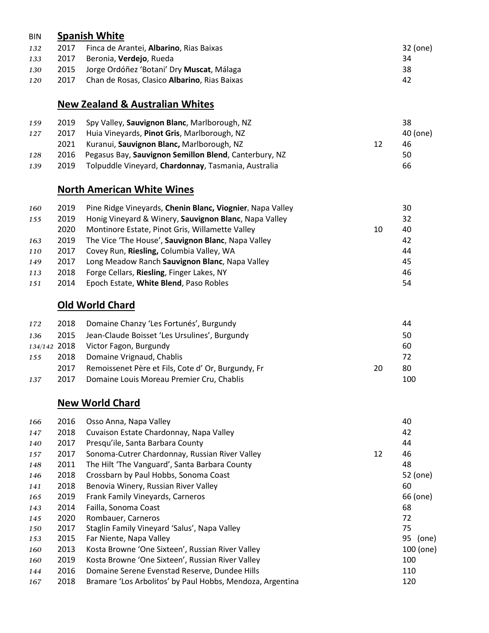#### BIN **Spanish White**

| 132 | 2017 | Finca de Arantei, <b>Albarino</b> , Rias Baixas        | 32 (one) |
|-----|------|--------------------------------------------------------|----------|
| 133 |      | 2017 Beronia, <b>Verdejo</b> , Rueda                   | 34       |
| 130 |      | 2015 Jorge Ordóñez 'Botani' Dry <b>Muscat</b> , Málaga | 38       |
| 120 | 2017 | Chan de Rosas, Clasico <b>Albarino</b> , Rias Baixas   | 42       |

# **New Zealand & Australian Whites**

| 159<br>127 | 2019<br>2017 | Spy Valley, Sauvignon Blanc, Marlborough, NZ<br>Huia Vineyards, Pinot Gris, Marlborough, NZ |    | 38<br>40 (one) |
|------------|--------------|---------------------------------------------------------------------------------------------|----|----------------|
|            | 2021         | Kuranui, Sauvignon Blanc, Marlborough, NZ                                                   | 12 | 46             |
| 128        | 2016         | Pegasus Bay, Sauvignon Semillon Blend, Canterbury, NZ                                       |    | 50             |
| 139        | 2019         | Tolpuddle Vineyard, Chardonnay, Tasmania, Australia                                         |    | 66             |

#### **North American White Wines**

| 160 | 2019 | Pine Ridge Vineyards, Chenin Blanc, Viognier, Napa Valley |    | 30 |
|-----|------|-----------------------------------------------------------|----|----|
| 155 | 2019 | Honig Vineyard & Winery, Sauvignon Blanc, Napa Valley     |    | 32 |
|     | 2020 | Montinore Estate, Pinot Gris, Willamette Valley           | 10 | 40 |
| 163 | 2019 | The Vice 'The House', Sauvignon Blanc, Napa Valley        |    | 42 |
| 110 | 2017 | Covey Run, Riesling, Columbia Valley, WA                  |    | 44 |
| 149 | 2017 | Long Meadow Ranch Sauvignon Blanc, Napa Valley            |    | 45 |
| 113 | 2018 | Forge Cellars, Riesling, Finger Lakes, NY                 |    | 46 |
| 151 | 2014 | Epoch Estate, White Blend, Paso Robles                    |    | 54 |

# **Old World Chard**

| 172 | 2018 | Domaine Chanzy 'Les Fortunés', Burgundy                   | 44  |
|-----|------|-----------------------------------------------------------|-----|
| 136 |      | 2015 Jean-Claude Boisset 'Les Ursulines', Burgundy        | 50  |
|     |      | $134/142$ 2018 Victor Fagon, Burgundy                     | -60 |
| 155 |      | 2018 Domaine Vrignaud, Chablis                            | 72  |
|     | 2017 | Remoissenet Père et Fils, Cote d' Or, Burgundy, Fr<br>20. | 80  |
| 137 | 2017 | Domaine Louis Moreau Premier Cru, Chablis                 | 100 |

#### **New World Chard**

|     |      |                                                           |    | 40          |
|-----|------|-----------------------------------------------------------|----|-------------|
| 166 | 2016 | Osso Anna, Napa Valley                                    |    |             |
| 147 | 2018 | Cuvaison Estate Chardonnay, Napa Valley                   |    | 42          |
| 140 | 2017 | Presqu'ile, Santa Barbara County                          |    | 44          |
| 157 | 2017 | Sonoma-Cutrer Chardonnay, Russian River Valley            | 12 | 46          |
| 148 | 2011 | The Hilt 'The Vanguard', Santa Barbara County             |    | 48          |
| 146 | 2018 | Crossbarn by Paul Hobbs, Sonoma Coast                     |    | 52 (one)    |
| 141 | 2018 | Benovia Winery, Russian River Valley                      |    | 60          |
| 165 | 2019 | Frank Family Vineyards, Carneros                          |    | 66 (one)    |
| 143 | 2014 | Failla, Sonoma Coast                                      |    | 68          |
| 145 | 2020 | Rombauer, Carneros                                        |    | 72          |
| 150 | 2017 | Staglin Family Vineyard 'Salus', Napa Valley              |    | 75          |
| 153 | 2015 | Far Niente, Napa Valley                                   |    | 95<br>(one) |
| 160 | 2013 | Kosta Browne 'One Sixteen', Russian River Valley          |    | 100 (one)   |
| 160 | 2019 | Kosta Browne 'One Sixteen', Russian River Valley          |    | 100         |
| 144 | 2016 | Domaine Serene Evenstad Reserve, Dundee Hills             |    | 110         |
| 167 | 2018 | Bramare 'Los Arbolitos' by Paul Hobbs, Mendoza, Argentina |    | 120         |
|     |      |                                                           |    |             |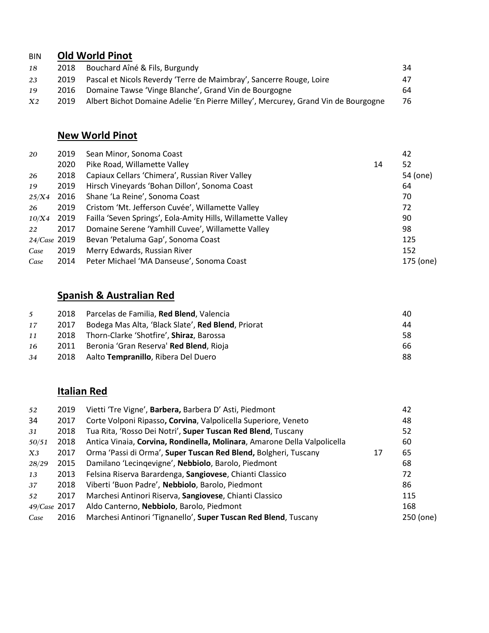# BIN **Old World Pinot**

| 18             | 2018 | Bouchard Aîné & Fils, Burgundy                                                    | 34  |
|----------------|------|-----------------------------------------------------------------------------------|-----|
| 23             | 2019 | Pascal et Nicols Reverdy 'Terre de Maimbray', Sancerre Rouge, Loire               | 47  |
| 19             | 2016 | Domaine Tawse 'Vinge Blanche', Grand Vin de Bourgogne                             | 64. |
| X <sub>2</sub> | 2019 | Albert Bichot Domaine Adelie 'En Pierre Milley', Mercurey, Grand Vin de Bourgogne | 76  |

# **New World Pinot**

| 20           | 2019 | Sean Minor, Sonoma Coast                                    |    | 42        |
|--------------|------|-------------------------------------------------------------|----|-----------|
|              | 2020 | Pike Road, Willamette Valley                                | 14 | 52        |
| 26           | 2018 | Capiaux Cellars 'Chimera', Russian River Valley             |    | 54 (one)  |
| 19           | 2019 | Hirsch Vineyards 'Bohan Dillon', Sonoma Coast               |    | 64        |
| 25/X4        | 2016 | Shane 'La Reine', Sonoma Coast                              |    | 70        |
| 26           | 2019 | Cristom 'Mt. Jefferson Cuvée', Willamette Valley            |    | 72        |
| 10/X4        | 2019 | Failla 'Seven Springs', Eola-Amity Hills, Willamette Valley |    | 90        |
| 22           | 2017 | Domaine Serene 'Yamhill Cuvee', Willamette Valley           |    | 98        |
| 24/Case 2019 |      | Bevan 'Petaluma Gap', Sonoma Coast                          |    | 125       |
| Case         | 2019 | Merry Edwards, Russian River                                |    | 152       |
| Case         | 2014 | Peter Michael 'MA Danseuse', Sonoma Coast                   |    | 175 (one) |

# **Spanish & Australian Red**

| $5^{\circ}$ |      | 2018 Parcelas de Familia, Red Blend, Valencia              | 40 |
|-------------|------|------------------------------------------------------------|----|
| 17          | 2017 | Bodega Mas Alta, 'Black Slate', <b>Red Blend</b> , Priorat | 44 |
| 11          |      | 2018 Thorn-Clarke 'Shotfire', <b>Shiraz</b> , Barossa      | 58 |
| 16          | 2011 | Beronia 'Gran Reserva' <b>Red Blend</b> , Rioja            | 66 |
| 34          |      | 2018 Aalto Tempranillo, Ribera Del Duero                   | 88 |

# **Italian Red**

| 52           | 2019 | Vietti 'Tre Vigne', Barbera, Barbera D' Asti, Piedmont                   |    | 42        |
|--------------|------|--------------------------------------------------------------------------|----|-----------|
| 34           | 2017 | Corte Volponi Ripasso, Corvina, Valpolicella Superiore, Veneto           |    | 48        |
| 31           | 2018 | Tua Rita, 'Rosso Dei Notri', Super Tuscan Red Blend, Tuscany             |    | 52        |
| 50/51        | 2018 | Antica Vinaia, Corvina, Rondinella, Molinara, Amarone Della Valpolicella |    | 60        |
| X3           | 2017 | Orma 'Passi di Orma', Super Tuscan Red Blend, Bolgheri, Tuscany          | 17 | 65        |
| 28/29        | 2015 | Damilano 'Lecingevigne', Nebbiolo, Barolo, Piedmont                      |    | 68        |
| 13           | 2013 | Felsina Riserva Barardenga, Sangiovese, Chianti Classico                 |    | 72        |
| 37           | 2018 | Viberti 'Buon Padre', Nebbiolo, Barolo, Piedmont                         |    | 86        |
| 52           | 2017 | Marchesi Antinori Riserva, Sangiovese, Chianti Classico                  |    | 115       |
| 49/Case 2017 |      | Aldo Canterno, Nebbiolo, Barolo, Piedmont                                |    | 168       |
| Case         | 2016 | Marchesi Antinori 'Tignanello', Super Tuscan Red Blend, Tuscany          |    | 250 (one) |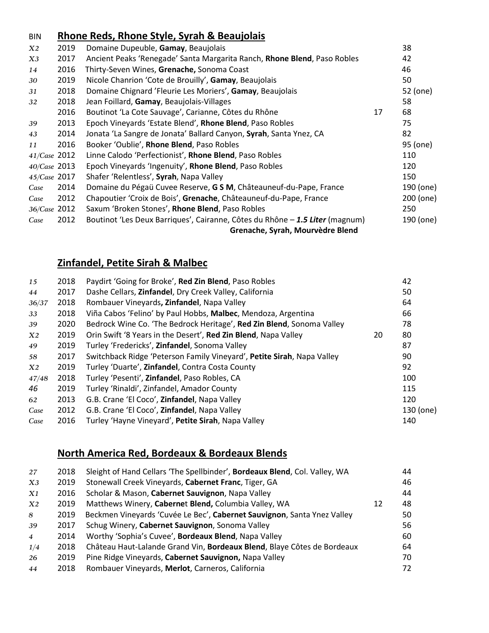#### BIN **Rhone Reds, Rhone Style, Syrah & Beaujolais**

| X2           | 2019 | Domaine Dupeuble, Gamay, Beaujolais                                          |    | 38        |
|--------------|------|------------------------------------------------------------------------------|----|-----------|
| X3           | 2017 | Ancient Peaks 'Renegade' Santa Margarita Ranch, Rhone Blend, Paso Robles     |    | 42        |
| 14           | 2016 | Thirty-Seven Wines, Grenache, Sonoma Coast                                   |    | 46        |
| 30           | 2019 | Nicole Chanrion 'Cote de Brouilly', Gamay, Beaujolais                        |    | 50        |
| 31           | 2018 | Domaine Chignard 'Fleurie Les Moriers', Gamay, Beaujolais                    |    | 52 (one)  |
| 32           | 2018 | Jean Foillard, Gamay, Beaujolais-Villages                                    |    | 58        |
|              | 2016 | Boutinot 'La Cote Sauvage', Carianne, Côtes du Rhône                         | 17 | 68        |
| 39           | 2013 | Epoch Vineyards 'Estate Blend', Rhone Blend, Paso Robles                     |    | 75        |
| 43           | 2014 | Jonata 'La Sangre de Jonata' Ballard Canyon, Syrah, Santa Ynez, CA           |    | 82        |
| 11           | 2016 | Booker 'Oublie', Rhone Blend, Paso Robles                                    |    | 95 (one)  |
| 41/Case 2012 |      | Linne Calodo 'Perfectionist', Rhone Blend, Paso Robles                       |    | 110       |
| 40/Case 2013 |      | Epoch Vineyards 'Ingenuity', Rhone Blend, Paso Robles                        |    | 120       |
| 45/Case 2017 |      | Shafer 'Relentless', Syrah, Napa Valley                                      |    | 150       |
| Case         | 2014 | Domaine du Pégaü Cuvee Reserve, G S M, Châteauneuf-du-Pape, France           |    | 190 (one) |
| Case         | 2012 | Chapoutier 'Croix de Bois', Grenache, Châteauneuf-du-Pape, France            |    | 200 (one) |
| 36/Case 2012 |      | Saxum 'Broken Stones', Rhone Blend, Paso Robles                              |    | 250       |
| Case         | 2012 | Boutinot 'Les Deux Barriques', Cairanne, Côtes du Rhône - 1.5 Liter (magnum) |    | 190 (one) |
|              |      | Grenache, Syrah, Mourvèdre Blend                                             |    |           |

#### **Zinfandel, Petite Sirah & Malbec**

| 15             | 2018 | Paydirt 'Going for Broke', Red Zin Blend, Paso Robles                  |    | 42        |
|----------------|------|------------------------------------------------------------------------|----|-----------|
| 44             | 2017 | Dashe Cellars, Zinfandel, Dry Creek Valley, California                 |    | 50        |
| 36/37          | 2018 | Rombauer Vineyards, Zinfandel, Napa Valley                             |    | 64        |
| 33             | 2018 | Viña Cabos 'Felino' by Paul Hobbs, Malbec, Mendoza, Argentina          |    | 66        |
| 39             | 2020 | Bedrock Wine Co. 'The Bedrock Heritage', Red Zin Blend, Sonoma Valley  |    | 78        |
| X2             | 2019 | Orin Swift '8 Years in the Desert', Red Zin Blend, Napa Valley         | 20 | 80        |
| 49             | 2019 | Turley 'Fredericks', Zinfandel, Sonoma Valley                          |    | 87        |
| 58             | 2017 | Switchback Ridge 'Peterson Family Vineyard', Petite Sirah, Napa Valley |    | 90        |
| X <sub>2</sub> | 2019 | Turley 'Duarte', Zinfandel, Contra Costa County                        |    | 92        |
| 47/48          | 2018 | Turley 'Pesenti', Zinfandel, Paso Robles, CA                           |    | 100       |
| 46             | 2019 | Turley 'Rinaldi', Zinfandel, Amador County                             |    | 115       |
| 62             | 2013 | G.B. Crane 'El Coco', Zinfandel, Napa Valley                           |    | 120       |
| Case           | 2012 | G.B. Crane 'El Coco', Zinfandel, Napa Valley                           |    | 130 (one) |
| Case           | 2016 | Turley 'Hayne Vineyard', Petite Sirah, Napa Valley                     |    | 140       |

#### **North America Red, Bordeaux & Bordeaux Blends**

| 27             | 2018 | Sleight of Hand Cellars 'The Spellbinder', Bordeaux Blend, Col. Valley, WA |    | 44  |
|----------------|------|----------------------------------------------------------------------------|----|-----|
| X3             | 2019 | Stonewall Creek Vineyards, Cabernet Franc, Tiger, GA                       |    | 46  |
| X1             | 2016 | Scholar & Mason, Cabernet Sauvignon, Napa Valley                           |    | 44  |
| X2             | 2019 | Matthews Winery, Cabernet Blend, Columbia Valley, WA                       | 12 | 48. |
| 8              | 2019 | Beckmen Vineyards 'Cuvée Le Bec', Cabernet Sauvignon, Santa Ynez Valley    |    | 50  |
| 39             | 2017 | Schug Winery, Cabernet Sauvignon, Sonoma Valley                            |    | 56  |
| $\overline{4}$ | 2014 | Worthy 'Sophia's Cuvee', Bordeaux Blend, Napa Valley                       |    | 60  |
| 1/4            | 2018 | Château Haut-Lalande Grand Vin, Bordeaux Blend, Blaye Côtes de Bordeaux    |    | 64  |
| 26             | 2019 | Pine Ridge Vineyards, Cabernet Sauvignon, Napa Valley                      |    | 70  |
| 44             | 2018 | Rombauer Vineyards, Merlot, Carneros, California                           |    | 72  |